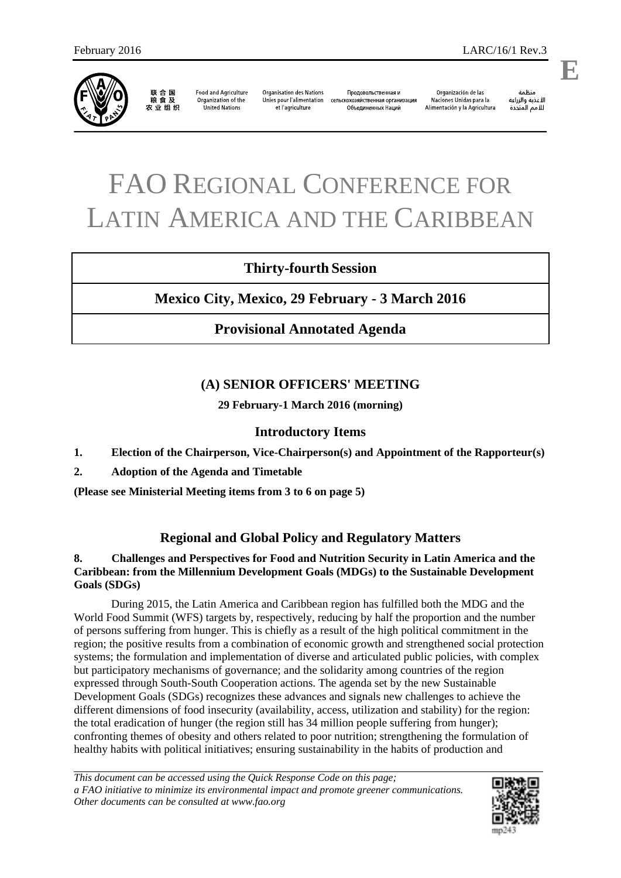

联合国<br>粮食及 农业组织

**Food and Agriculture** Organization of the **United Nations** 

**Organisation des Nations** Unies pour l'alimentation et l'agriculture

Продовольственная и сельскохозяйственная организация Объединенных Наций

ونظوة الأغذية والزراعة للأمم المتحدة

# FAO REGIONAL CONFERENCE FOR LATIN AMERICA AND THE CARIBBEAN

# **Thirty-fourth Session**

# **Mexico City, Mexico, 29 February - 3 March 2016**

# **Provisional Annotated Agenda**

# **(A) SENIOR OFFICERS' MEETING**

**29 February-1 March 2016 (morning)** 

# **Introductory Items**

- **1. Election of the Chairperson, Vice-Chairperson(s) and Appointment of the Rapporteur(s)**
- **2. Adoption of the Agenda and Timetable**

**(Please see Ministerial Meeting items from 3 to 6 on page 5)**

# **Regional and Global Policy and Regulatory Matters**

# **8. Challenges and Perspectives for Food and Nutrition Security in Latin America and the Caribbean: from the Millennium Development Goals (MDGs) to the Sustainable Development Goals (SDGs)**

 During 2015, the Latin America and Caribbean region has fulfilled both the MDG and the World Food Summit (WFS) targets by, respectively, reducing by half the proportion and the number of persons suffering from hunger. This is chiefly as a result of the high political commitment in the region; the positive results from a combination of economic growth and strengthened social protection systems; the formulation and implementation of diverse and articulated public policies, with complex but participatory mechanisms of governance; and the solidarity among countries of the region expressed through South-South Cooperation actions. The agenda set by the new Sustainable Development Goals (SDGs) recognizes these advances and signals new challenges to achieve the different dimensions of food insecurity (availability, access, utilization and stability) for the region: the total eradication of hunger (the region still has 34 million people suffering from hunger); confronting themes of obesity and others related to poor nutrition; strengthening the formulation of healthy habits with political initiatives; ensuring sustainability in the habits of production and

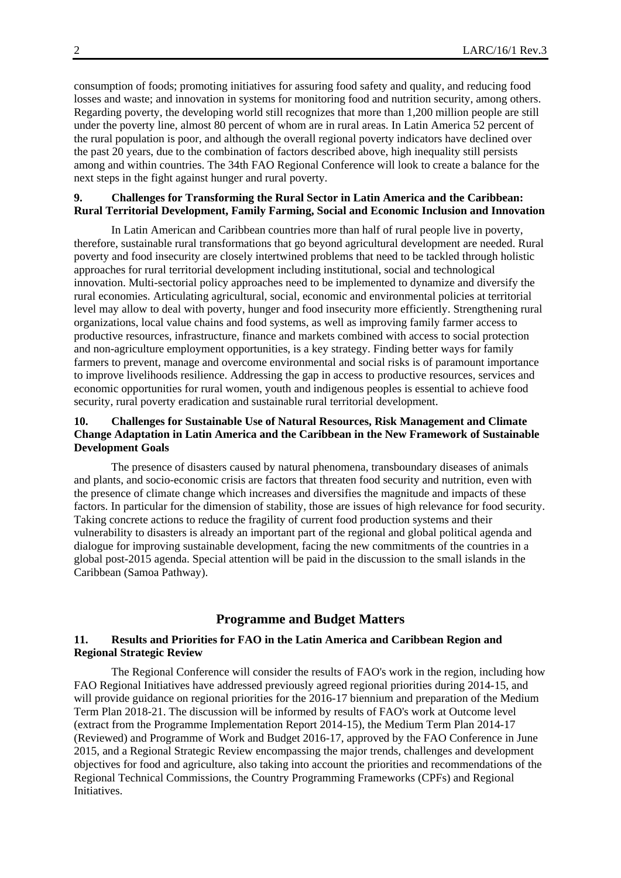consumption of foods; promoting initiatives for assuring food safety and quality, and reducing food losses and waste; and innovation in systems for monitoring food and nutrition security, among others. Regarding poverty, the developing world still recognizes that more than 1,200 million people are still under the poverty line, almost 80 percent of whom are in rural areas. In Latin America 52 percent of the rural population is poor, and although the overall regional poverty indicators have declined over the past 20 years, due to the combination of factors described above, high inequality still persists among and within countries. The 34th FAO Regional Conference will look to create a balance for the next steps in the fight against hunger and rural poverty.

#### **9. Challenges for Transforming the Rural Sector in Latin America and the Caribbean: Rural Territorial Development, Family Farming, Social and Economic Inclusion and Innovation**

 In Latin American and Caribbean countries more than half of rural people live in poverty, therefore, sustainable rural transformations that go beyond agricultural development are needed. Rural poverty and food insecurity are closely intertwined problems that need to be tackled through holistic approaches for rural territorial development including institutional, social and technological innovation. Multi-sectorial policy approaches need to be implemented to dynamize and diversify the rural economies. Articulating agricultural, social, economic and environmental policies at territorial level may allow to deal with poverty, hunger and food insecurity more efficiently. Strengthening rural organizations, local value chains and food systems, as well as improving family farmer access to productive resources, infrastructure, finance and markets combined with access to social protection and non-agriculture employment opportunities, is a key strategy. Finding better ways for family farmers to prevent, manage and overcome environmental and social risks is of paramount importance to improve livelihoods resilience. Addressing the gap in access to productive resources, services and economic opportunities for rural women, youth and indigenous peoples is essential to achieve food security, rural poverty eradication and sustainable rural territorial development.

# **10. Challenges for Sustainable Use of Natural Resources, Risk Management and Climate Change Adaptation in Latin America and the Caribbean in the New Framework of Sustainable Development Goals**

 The presence of disasters caused by natural phenomena, transboundary diseases of animals and plants, and socio-economic crisis are factors that threaten food security and nutrition, even with the presence of climate change which increases and diversifies the magnitude and impacts of these factors. In particular for the dimension of stability, those are issues of high relevance for food security. Taking concrete actions to reduce the fragility of current food production systems and their vulnerability to disasters is already an important part of the regional and global political agenda and dialogue for improving sustainable development, facing the new commitments of the countries in a global post-2015 agenda. Special attention will be paid in the discussion to the small islands in the Caribbean (Samoa Pathway).

# **Programme and Budget Matters**

#### **11. Results and Priorities for FAO in the Latin America and Caribbean Region and Regional Strategic Review**

 The Regional Conference will consider the results of FAO's work in the region, including how FAO Regional Initiatives have addressed previously agreed regional priorities during 2014-15, and will provide guidance on regional priorities for the 2016-17 biennium and preparation of the Medium Term Plan 2018-21. The discussion will be informed by results of FAO's work at Outcome level (extract from the Programme Implementation Report 2014-15), the Medium Term Plan 2014-17 (Reviewed) and Programme of Work and Budget 2016-17, approved by the FAO Conference in June 2015, and a Regional Strategic Review encompassing the major trends, challenges and development objectives for food and agriculture, also taking into account the priorities and recommendations of the Regional Technical Commissions, the Country Programming Frameworks (CPFs) and Regional Initiatives.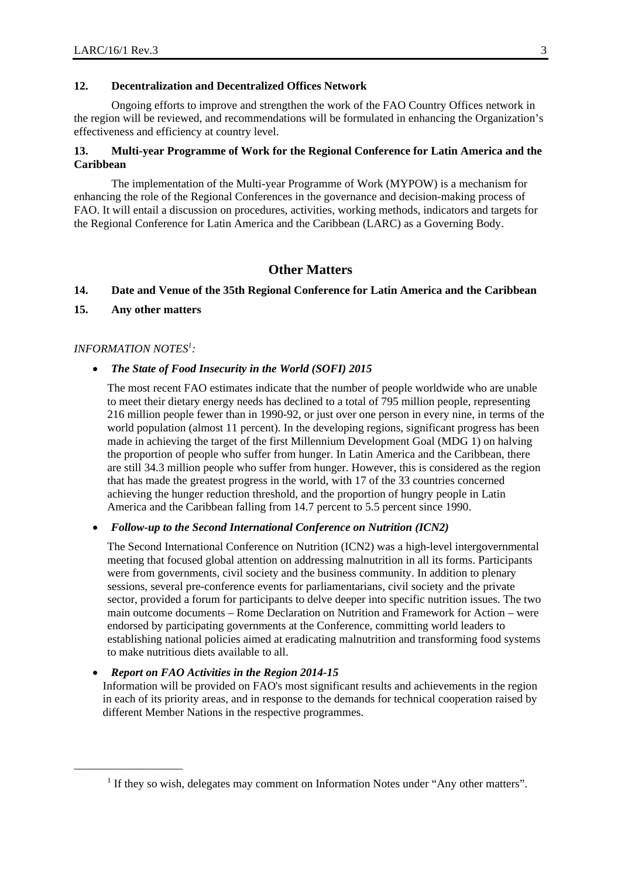# **12. Decentralization and Decentralized Offices Network**

 Ongoing efforts to improve and strengthen the work of the FAO Country Offices network in the region will be reviewed, and recommendations will be formulated in enhancing the Organization's effectiveness and efficiency at country level.

## **13. Multi-year Programme of Work for the Regional Conference for Latin America and the Caribbean**

 The implementation of the Multi-year Programme of Work (MYPOW) is a mechanism for enhancing the role of the Regional Conferences in the governance and decision-making process of FAO. It will entail a discussion on procedures, activities, working methods, indicators and targets for the Regional Conference for Latin America and the Caribbean (LARC) as a Governing Body.

# **Other Matters**

## **14. Date and Venue of the 35th Regional Conference for Latin America and the Caribbean**

**15. Any other matters** 

## *INFORMATION NOTES<sup>1</sup> :*

\_\_\_\_\_\_\_\_\_\_\_\_\_\_\_\_\_\_\_

#### *The State of Food Insecurity in the World (SOFI) 2015*

The most recent FAO estimates indicate that the number of people worldwide who are unable to meet their dietary energy needs has declined to a total of 795 million people, representing 216 million people fewer than in 1990-92, or just over one person in every nine, in terms of the world population (almost 11 percent). In the developing regions, significant progress has been made in achieving the target of the first Millennium Development Goal (MDG 1) on halving the proportion of people who suffer from hunger. In Latin America and the Caribbean, there are still 34.3 million people who suffer from hunger. However, this is considered as the region that has made the greatest progress in the world, with 17 of the 33 countries concerned achieving the hunger reduction threshold, and the proportion of hungry people in Latin America and the Caribbean falling from 14.7 percent to 5.5 percent since 1990.

*Follow-up to the Second International Conference on Nutrition (ICN2)* 

The Second International Conference on Nutrition (ICN2) was a high-level intergovernmental meeting that focused global attention on addressing malnutrition in all its forms. Participants were from governments, civil society and the business community. In addition to plenary sessions, several pre-conference events for parliamentarians, civil society and the private sector, provided a forum for participants to delve deeper into specific nutrition issues. The two main outcome documents – Rome Declaration on Nutrition and Framework for Action – were endorsed by participating governments at the Conference, committing world leaders to establishing national policies aimed at eradicating malnutrition and transforming food systems to make nutritious diets available to all.

#### *Report on FAO Activities in the Region 2014-15*

Information will be provided on FAO's most significant results and achievements in the region in each of its priority areas, and in response to the demands for technical cooperation raised by different Member Nations in the respective programmes.

<sup>&</sup>lt;sup>1</sup> If they so wish, delegates may comment on Information Notes under "Any other matters".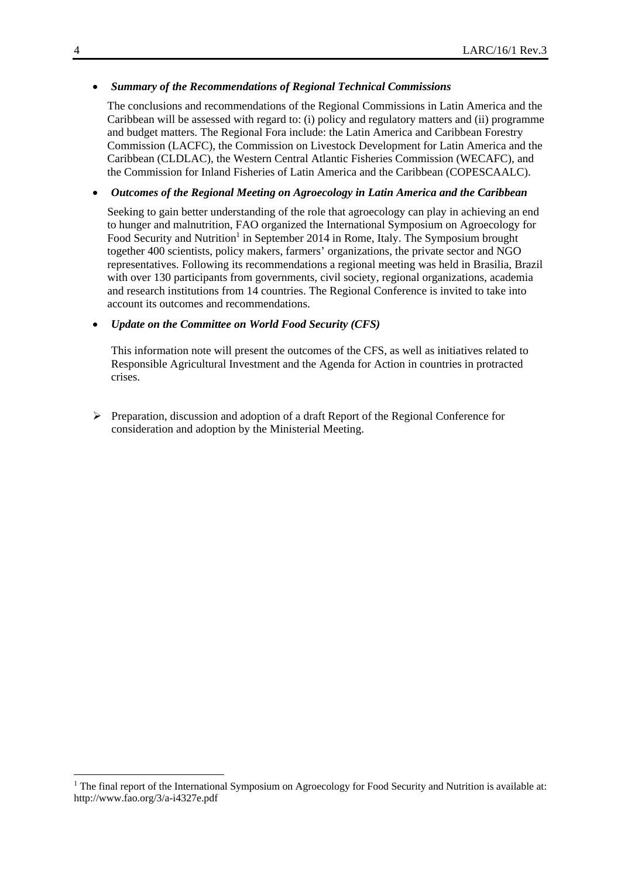## *Summary of the Recommendations of Regional Technical Commissions*

The conclusions and recommendations of the Regional Commissions in Latin America and the Caribbean will be assessed with regard to: (i) policy and regulatory matters and (ii) programme and budget matters. The Regional Fora include: the Latin America and Caribbean Forestry Commission (LACFC), the Commission on Livestock Development for Latin America and the Caribbean (CLDLAC), the Western Central Atlantic Fisheries Commission (WECAFC), and the Commission for Inland Fisheries of Latin America and the Caribbean (COPESCAALC).

#### *Outcomes of the Regional Meeting on Agroecology in Latin America and the Caribbean*

Seeking to gain better understanding of the role that agroecology can play in achieving an end to hunger and malnutrition, FAO organized the International Symposium on Agroecology for Food Security and Nutrition<sup>1</sup> in September 2014 in Rome, Italy. The Symposium brought together 400 scientists, policy makers, farmers' organizations, the private sector and NGO representatives. Following its recommendations a regional meeting was held in Brasilia, Brazil with over 130 participants from governments, civil society, regional organizations, academia and research institutions from 14 countries. The Regional Conference is invited to take into account its outcomes and recommendations.

#### *Update on the Committee on World Food Security (CFS)*

This information note will present the outcomes of the CFS, as well as initiatives related to Responsible Agricultural Investment and the Agenda for Action in countries in protracted crises.

 $\triangleright$  Preparation, discussion and adoption of a draft Report of the Regional Conference for consideration and adoption by the Ministerial Meeting.

1

<sup>&</sup>lt;sup>1</sup> The final report of the International Symposium on Agroecology for Food Security and Nutrition is available at: http://www.fao.org/3/a-i4327e.pdf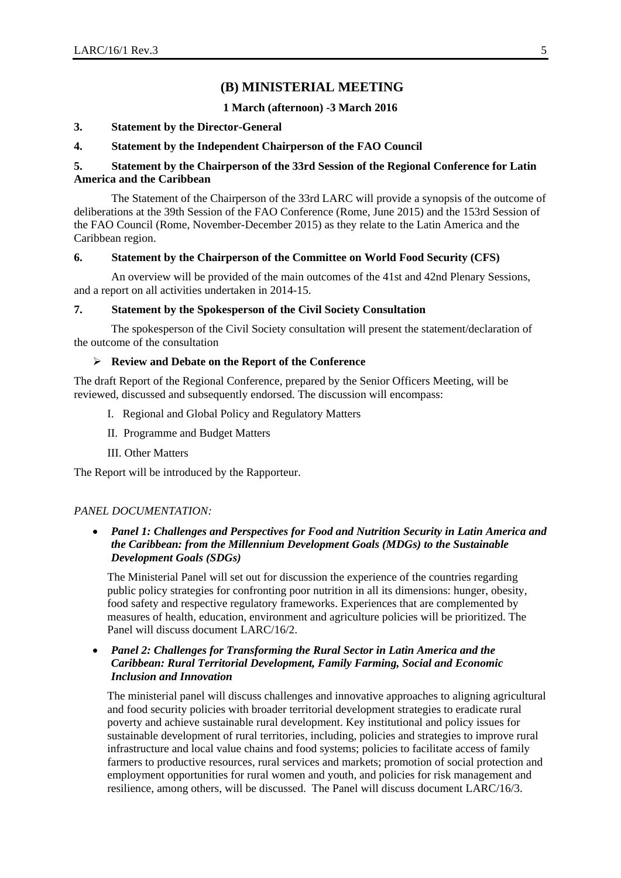# **(B) MINISTERIAL MEETING**

#### **1 March (afternoon) -3 March 2016**

#### **3. Statement by the Director-General**

#### **4. Statement by the Independent Chairperson of the FAO Council**

# **5. Statement by the Chairperson of the 33rd Session of the Regional Conference for Latin America and the Caribbean**

 The Statement of the Chairperson of the 33rd LARC will provide a synopsis of the outcome of deliberations at the 39th Session of the FAO Conference (Rome, June 2015) and the 153rd Session of the FAO Council (Rome, November-December 2015) as they relate to the Latin America and the Caribbean region.

#### **6. Statement by the Chairperson of the Committee on World Food Security (CFS)**

 An overview will be provided of the main outcomes of the 41st and 42nd Plenary Sessions, and a report on all activities undertaken in 2014-15.

#### **7. Statement by the Spokesperson of the Civil Society Consultation**

 The spokesperson of the Civil Society consultation will present the statement/declaration of the outcome of the consultation

# **Review and Debate on the Report of the Conference**

The draft Report of the Regional Conference, prepared by the Senior Officers Meeting, will be reviewed, discussed and subsequently endorsed. The discussion will encompass:

- I. Regional and Global Policy and Regulatory Matters
- II. Programme and Budget Matters
- III. Other Matters

The Report will be introduced by the Rapporteur.

#### *PANEL DOCUMENTATION:*

 *Panel 1: Challenges and Perspectives for Food and Nutrition Security in Latin America and the Caribbean: from the Millennium Development Goals (MDGs) to the Sustainable Development Goals (SDGs)* 

The Ministerial Panel will set out for discussion the experience of the countries regarding public policy strategies for confronting poor nutrition in all its dimensions: hunger, obesity, food safety and respective regulatory frameworks. Experiences that are complemented by measures of health, education, environment and agriculture policies will be prioritized. The Panel will discuss document LARC/16/2.

 *Panel 2: Challenges for Transforming the Rural Sector in Latin America and the Caribbean: Rural Territorial Development, Family Farming, Social and Economic Inclusion and Innovation* 

The ministerial panel will discuss challenges and innovative approaches to aligning agricultural and food security policies with broader territorial development strategies to eradicate rural poverty and achieve sustainable rural development. Key institutional and policy issues for sustainable development of rural territories, including, policies and strategies to improve rural infrastructure and local value chains and food systems; policies to facilitate access of family farmers to productive resources, rural services and markets; promotion of social protection and employment opportunities for rural women and youth, and policies for risk management and resilience, among others, will be discussed. The Panel will discuss document LARC/16/3.